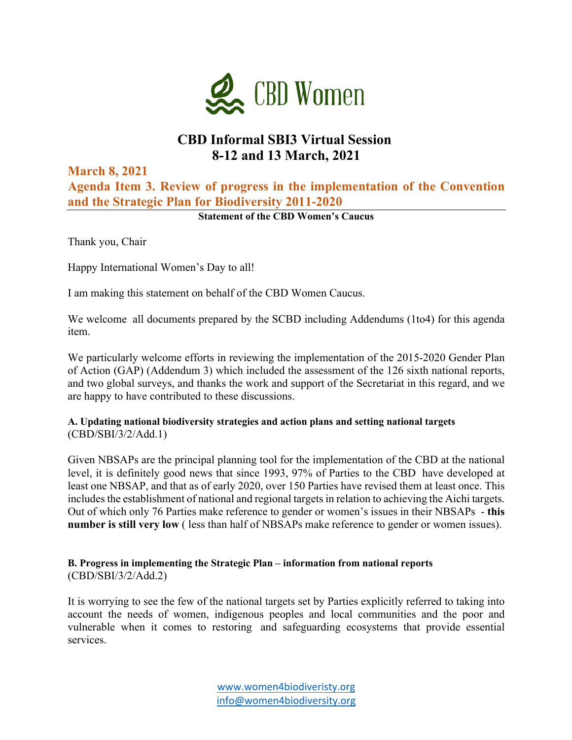

# **CBD Informal SBI3 Virtual Session 8-12 and 13 March, 2021**

**March 8, 2021 Agenda Item 3. Review of progress in the implementation of the Convention and the Strategic Plan for Biodiversity 2011-2020**

**Statement of the CBD Women's Caucus**

Thank you, Chair

Happy International Women's Day to all!

I am making this statement on behalf of the CBD Women Caucus.

We welcome all documents prepared by the SCBD including Addendums (1to4) for this agenda item.

We particularly welcome efforts in reviewing the implementation of the 2015-2020 Gender Plan of Action (GAP) (Addendum 3) which included the assessment of the 126 sixth national reports, and two global surveys, and thanks the work and support of the Secretariat in this regard, and we are happy to have contributed to these discussions.

#### **A. Updating national biodiversity strategies and action plans and setting national targets**  (CBD/SBI/3/2/Add.1)

Given NBSAPs are the principal planning tool for the implementation of the CBD at the national level, it is definitely good news that since 1993, 97% of Parties to the CBD have developed at least one NBSAP, and that as of early 2020, over 150 Parties have revised them at least once. This includes the establishment of national and regional targets in relation to achieving the Aichi targets. Out of which only 76 Parties make reference to gender or women's issues in their NBSAPs - **this number is still very low** ( less than half of NBSAPs make reference to gender or women issues).

### **B. Progress in implementing the Strategic Plan – information from national reports**  (CBD/SBI/3/2/Add.2)

It is worrying to see the few of the national targets set by Parties explicitly referred to taking into account the needs of women, indigenous peoples and local communities and the poor and vulnerable when it comes to restoring and safeguarding ecosystems that provide essential services.